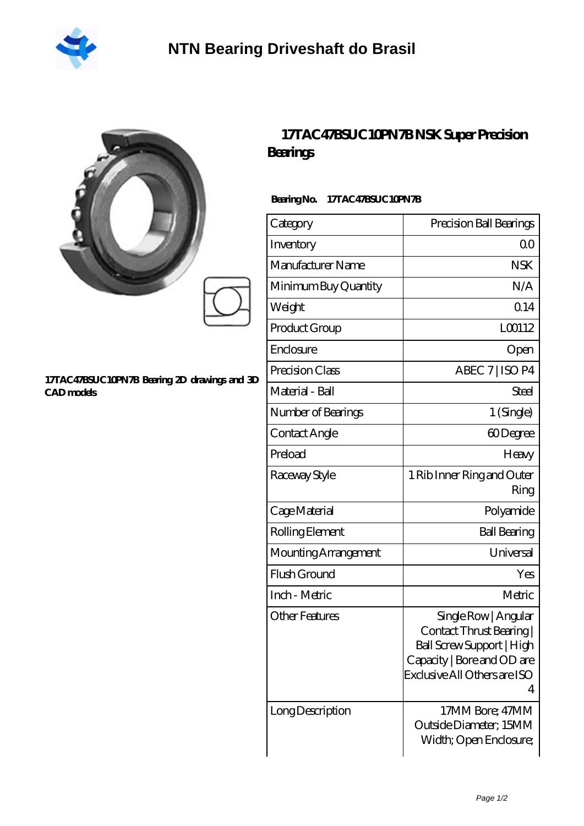

|                                                                   | 17TAC47BSUC10PN7BNSK SuperPrecision<br><b>Bearings</b> |                                                                                                                                                  |  |
|-------------------------------------------------------------------|--------------------------------------------------------|--------------------------------------------------------------------------------------------------------------------------------------------------|--|
|                                                                   | BearingNo.<br>17TAC47BSUC10PN7B                        |                                                                                                                                                  |  |
|                                                                   | Category                                               | Precision Ball Bearings                                                                                                                          |  |
|                                                                   | Inventory                                              | 0 <sup>0</sup>                                                                                                                                   |  |
|                                                                   | Manufacturer Name                                      | <b>NSK</b>                                                                                                                                       |  |
|                                                                   | Minimum Buy Quantity                                   | N/A                                                                                                                                              |  |
|                                                                   | Weight                                                 | 0.14                                                                                                                                             |  |
|                                                                   | Product Group                                          | LO0112                                                                                                                                           |  |
|                                                                   | Enclosure                                              | Open                                                                                                                                             |  |
|                                                                   | Precision Class                                        | ABEC 7   ISO P4                                                                                                                                  |  |
| 17TAC47BSUC10PN7B Bearing 2D drawings and 3D<br><b>CAD</b> models | Material - Ball                                        | <b>Steel</b>                                                                                                                                     |  |
|                                                                   | Number of Bearings                                     | 1 (Single)                                                                                                                                       |  |
|                                                                   | Contact Angle                                          | 60Degree                                                                                                                                         |  |
|                                                                   | Preload                                                | Heavy                                                                                                                                            |  |
|                                                                   | Raceway Style                                          | 1 Rib Inner Ring and Outer<br>Ring                                                                                                               |  |
|                                                                   | Cage Material                                          | Polyamide                                                                                                                                        |  |
|                                                                   | Rolling Element                                        | <b>Ball Bearing</b>                                                                                                                              |  |
|                                                                   | Mounting Arrangement                                   | Universal                                                                                                                                        |  |
|                                                                   | Flush Ground                                           | Yes                                                                                                                                              |  |
|                                                                   | Inch - Metric                                          | Metric                                                                                                                                           |  |
|                                                                   | <b>Other Features</b>                                  | Single Row   Angular<br>Contact Thrust Bearing  <br>Ball Screw Support   High<br>Capacity   Bore and OD are<br>Exclusive All Others are ISO<br>4 |  |
|                                                                   | Long Description                                       | 17MM Bore; 47MM                                                                                                                                  |  |

Outside Diameter; 15MM Width; Open Enclosure;